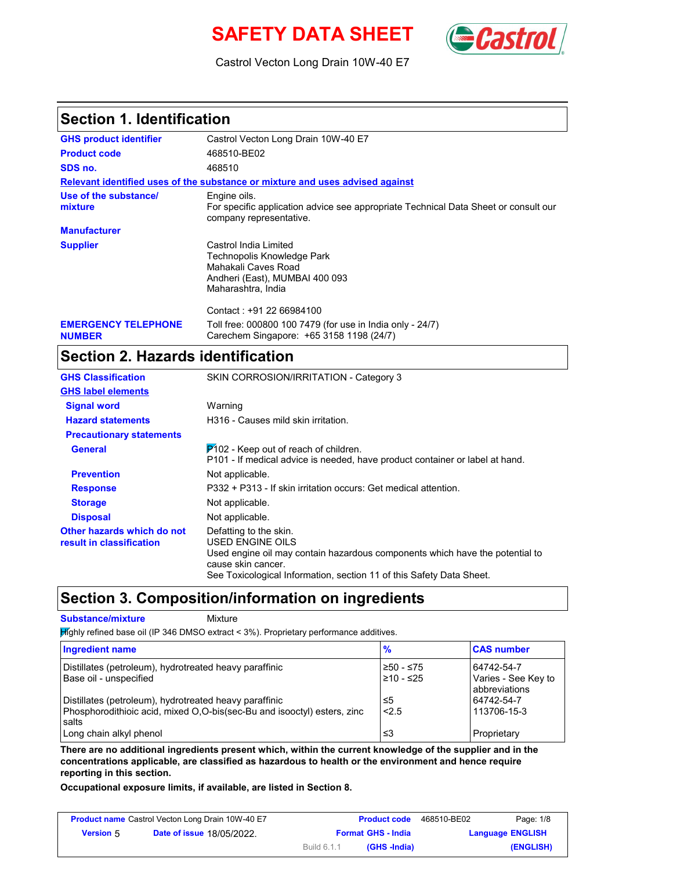# **SAFETY DATA SHEET** (**Castro**



Castrol Vecton Long Drain 10W-40 E7

#### **Section 1. Identification**

| <b>GHS product identifier</b>               | Castrol Vecton Long Drain 10W-40 E7                                                                                                |
|---------------------------------------------|------------------------------------------------------------------------------------------------------------------------------------|
| <b>Product code</b>                         | 468510-BE02                                                                                                                        |
| SDS no.                                     | 468510                                                                                                                             |
|                                             | Relevant identified uses of the substance or mixture and uses advised against                                                      |
| Use of the substance/<br>mixture            | Engine oils.<br>For specific application advice see appropriate Technical Data Sheet or consult our<br>company representative.     |
| <b>Manufacturer</b>                         |                                                                                                                                    |
| <b>Supplier</b>                             | Castrol India Limited<br>Technopolis Knowledge Park<br>Mahakali Caves Road<br>Andheri (East), MUMBAI 400 093<br>Maharashtra, India |
|                                             | Contact: +91 22 66984100                                                                                                           |
| <b>EMERGENCY TELEPHONE</b><br><b>NUMBER</b> | Toll free: 000800 100 7479 (for use in India only - 24/7)<br>Carechem Singapore: +65 3158 1198 (24/7)                              |

## **Section 2. Hazards identification**

| <b>GHS Classification</b>                              | SKIN CORROSION/IRRITATION - Category 3                                                                                                                                                                                          |
|--------------------------------------------------------|---------------------------------------------------------------------------------------------------------------------------------------------------------------------------------------------------------------------------------|
| <b>GHS label elements</b>                              |                                                                                                                                                                                                                                 |
| <b>Signal word</b>                                     | Warning                                                                                                                                                                                                                         |
| <b>Hazard statements</b>                               | H316 - Causes mild skin irritation.                                                                                                                                                                                             |
| <b>Precautionary statements</b>                        |                                                                                                                                                                                                                                 |
| <b>General</b>                                         | $P$ 102 - Keep out of reach of children.<br>P101 - If medical advice is needed, have product container or label at hand.                                                                                                        |
| <b>Prevention</b>                                      | Not applicable.                                                                                                                                                                                                                 |
| <b>Response</b>                                        | P332 + P313 - If skin irritation occurs: Get medical attention.                                                                                                                                                                 |
| <b>Storage</b>                                         | Not applicable.                                                                                                                                                                                                                 |
| <b>Disposal</b>                                        | Not applicable.                                                                                                                                                                                                                 |
| Other hazards which do not<br>result in classification | Defatting to the skin.<br><b>USED ENGINE OILS</b><br>Used engine oil may contain hazardous components which have the potential to<br>cause skin cancer.<br>See Toxicological Information, section 11 of this Safety Data Sheet. |

### **Section 3. Composition/information on ingredients**

**Substance/mixture Mixture** 

 $M$ ghly refined base oil (IP 346 DMSO extract < 3%). Proprietary performance additives.

| Ingredient name                                                                                                                            | %                          | <b>CAS number</b>                                  |
|--------------------------------------------------------------------------------------------------------------------------------------------|----------------------------|----------------------------------------------------|
| Distillates (petroleum), hydrotreated heavy paraffinic<br>Base oil - unspecified                                                           | $≥50 - ≤75$<br>$≥10 - ≤25$ | 64742-54-7<br>Varies - See Key to<br>abbreviations |
| Distillates (petroleum), hydrotreated heavy paraffinic<br>Phosphorodithioic acid, mixed O,O-bis(sec-Bu and isooctyl) esters, zinc<br>salts | ≤5<br>< 2.5                | 64742-54-7<br>113706-15-3                          |
| Long chain alkyl phenol                                                                                                                    | ≤3                         | Proprietary                                        |

**There are no additional ingredients present which, within the current knowledge of the supplier and in the concentrations applicable, are classified as hazardous to health or the environment and hence require reporting in this section.**

**Occupational exposure limits, if available, are listed in Section 8.**

| Page: 1/8               | 468510-BE02 | <b>Product code</b>       |             | <b>Product name</b> Castrol Vecton Long Drain 10W-40 E7 |                  |
|-------------------------|-------------|---------------------------|-------------|---------------------------------------------------------|------------------|
| <b>Language ENGLISH</b> |             | <b>Format GHS - India</b> |             | <b>Date of issue 18/05/2022.</b>                        | <b>Version 5</b> |
| (ENGLISH)               |             | (GHS -India)              | Build 6.1.1 |                                                         |                  |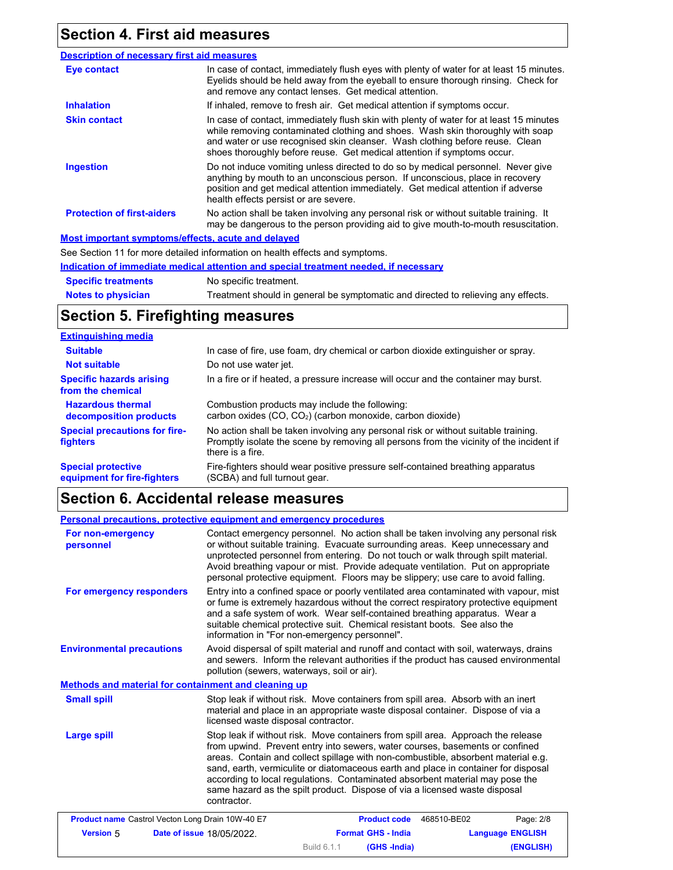## **Section 4. First aid measures**

| <b>Description of necessary first aid measures</b> |                                                                                                                                                                                                                                                                                                                                      |
|----------------------------------------------------|--------------------------------------------------------------------------------------------------------------------------------------------------------------------------------------------------------------------------------------------------------------------------------------------------------------------------------------|
| Eye contact                                        | In case of contact, immediately flush eyes with plenty of water for at least 15 minutes.<br>Eyelids should be held away from the eyeball to ensure thorough rinsing. Check for<br>and remove any contact lenses. Get medical attention.                                                                                              |
| <b>Inhalation</b>                                  | If inhaled, remove to fresh air. Get medical attention if symptoms occur.                                                                                                                                                                                                                                                            |
| <b>Skin contact</b>                                | In case of contact, immediately flush skin with plenty of water for at least 15 minutes<br>while removing contaminated clothing and shoes. Wash skin thoroughly with soap<br>and water or use recognised skin cleanser. Wash clothing before reuse. Clean<br>shoes thoroughly before reuse. Get medical attention if symptoms occur. |
| <b>Ingestion</b>                                   | Do not induce vomiting unless directed to do so by medical personnel. Never give<br>anything by mouth to an unconscious person. If unconscious, place in recovery<br>position and get medical attention immediately. Get medical attention if adverse<br>health effects persist or are severe.                                       |
| <b>Protection of first-aiders</b>                  | No action shall be taken involving any personal risk or without suitable training. It<br>may be dangerous to the person providing aid to give mouth-to-mouth resuscitation.                                                                                                                                                          |
| Most important symptoms/effects, acute and delayed |                                                                                                                                                                                                                                                                                                                                      |
|                                                    | See Section 11 for more detailed information on health effects and symptoms.                                                                                                                                                                                                                                                         |
|                                                    | Indication of immediate medical attention and special treatment needed, if necessary                                                                                                                                                                                                                                                 |

**Notes to physician Specific treatments** No specific treatment. Treatment should in general be symptomatic and directed to relieving any effects.

### **Section 5. Firefighting measures**

| <b>Extinguishing media</b>                               |                                                                                                                                                                                                   |
|----------------------------------------------------------|---------------------------------------------------------------------------------------------------------------------------------------------------------------------------------------------------|
| <b>Suitable</b>                                          | In case of fire, use foam, dry chemical or carbon dioxide extinguisher or spray.                                                                                                                  |
| <b>Not suitable</b>                                      | Do not use water jet.                                                                                                                                                                             |
| <b>Specific hazards arising</b><br>from the chemical     | In a fire or if heated, a pressure increase will occur and the container may burst.                                                                                                               |
| <b>Hazardous thermal</b><br>decomposition products       | Combustion products may include the following:<br>carbon oxides $(CO, CO2)$ (carbon monoxide, carbon dioxide)                                                                                     |
| <b>Special precautions for fire-</b><br><b>fighters</b>  | No action shall be taken involving any personal risk or without suitable training.<br>Promptly isolate the scene by removing all persons from the vicinity of the incident if<br>there is a fire. |
| <b>Special protective</b><br>equipment for fire-fighters | Fire-fighters should wear positive pressure self-contained breathing apparatus<br>(SCBA) and full turnout gear.                                                                                   |

### **Section 6. Accidental release measures**

| <b>Personal precautions, protective equipment and emergency procedures</b> |                                             |                                                                                                                                                                                                          |                                                                                                                                                                                                                                                                                                                                                                                                                                   |
|----------------------------------------------------------------------------|---------------------------------------------|----------------------------------------------------------------------------------------------------------------------------------------------------------------------------------------------------------|-----------------------------------------------------------------------------------------------------------------------------------------------------------------------------------------------------------------------------------------------------------------------------------------------------------------------------------------------------------------------------------------------------------------------------------|
| For non-emergency<br>personnel                                             |                                             |                                                                                                                                                                                                          | Contact emergency personnel. No action shall be taken involving any personal risk<br>or without suitable training. Evacuate surrounding areas. Keep unnecessary and<br>unprotected personnel from entering. Do not touch or walk through spilt material.<br>Avoid breathing vapour or mist. Provide adequate ventilation. Put on appropriate<br>personal protective equipment. Floors may be slippery; use care to avoid falling. |
| For emergency responders                                                   |                                             | and a safe system of work. Wear self-contained breathing apparatus. Wear a<br>suitable chemical protective suit. Chemical resistant boots. See also the<br>information in "For non-emergency personnel". | Entry into a confined space or poorly ventilated area contaminated with vapour, mist<br>or fume is extremely hazardous without the correct respiratory protective equipment                                                                                                                                                                                                                                                       |
| <b>Environmental precautions</b>                                           | pollution (sewers, waterways, soil or air). |                                                                                                                                                                                                          | Avoid dispersal of spilt material and runoff and contact with soil, waterways, drains<br>and sewers. Inform the relevant authorities if the product has caused environmental                                                                                                                                                                                                                                                      |
| Methods and material for containment and cleaning up                       |                                             |                                                                                                                                                                                                          |                                                                                                                                                                                                                                                                                                                                                                                                                                   |
| <b>Small spill</b>                                                         | licensed waste disposal contractor.         | Stop leak if without risk. Move containers from spill area. Absorb with an inert                                                                                                                         | material and place in an appropriate waste disposal container. Dispose of via a                                                                                                                                                                                                                                                                                                                                                   |
| <b>Large spill</b>                                                         | contractor.                                 | according to local regulations. Contaminated absorbent material may pose the<br>same hazard as the spilt product. Dispose of via a licensed waste disposal                                               | Stop leak if without risk. Move containers from spill area. Approach the release<br>from upwind. Prevent entry into sewers, water courses, basements or confined<br>areas. Contain and collect spillage with non-combustible, absorbent material e.g.<br>sand, earth, vermiculite or diatomaceous earth and place in container for disposal                                                                                       |
| <b>Product name</b> Castrol Vecton Long Drain 10W-40 E7                    |                                             | <b>Product code</b>                                                                                                                                                                                      | Page: 2/8<br>468510-BE02                                                                                                                                                                                                                                                                                                                                                                                                          |
| Version 5                                                                  | Date of issue 18/05/2022.                   | <b>Format GHS - India</b>                                                                                                                                                                                | <b>Language ENGLISH</b>                                                                                                                                                                                                                                                                                                                                                                                                           |
|                                                                            |                                             | (GHS-India)<br>Build 6.1.1                                                                                                                                                                               | (ENGLISH)                                                                                                                                                                                                                                                                                                                                                                                                                         |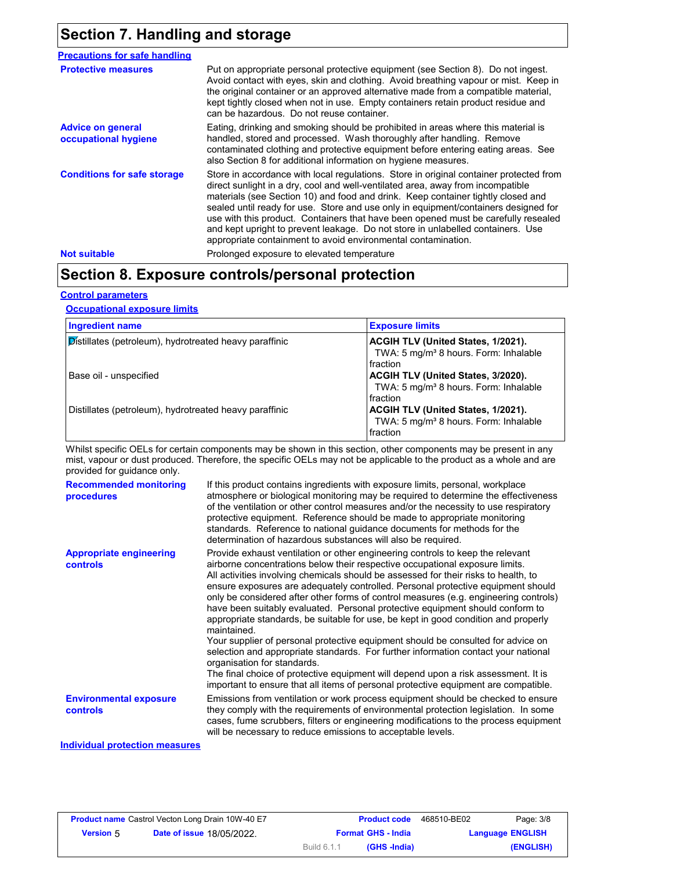## **Section 7. Handling and storage**

| Put on appropriate personal protective equipment (see Section 8). Do not ingest.<br><b>Protective measures</b><br>Avoid contact with eyes, skin and clothing. Avoid breathing vapour or mist. Keep in<br>the original container or an approved alternative made from a compatible material,<br>kept tightly closed when not in use. Empty containers retain product residue and<br>can be hazardous. Do not reuse container.<br>Eating, drinking and smoking should be prohibited in areas where this material is<br><b>Advice on general</b><br>handled, stored and processed. Wash thoroughly after handling. Remove<br>occupational hygiene<br>contaminated clothing and protective equipment before entering eating areas. See<br>also Section 8 for additional information on hygiene measures.<br><b>Conditions for safe storage</b><br>direct sunlight in a dry, cool and well-ventilated area, away from incompatible<br>materials (see Section 10) and food and drink. Keep container tightly closed and<br>sealed until ready for use. Store and use only in equipment/containers designed for<br>and kept upright to prevent leakage. Do not store in unlabelled containers. Use<br>appropriate containment to avoid environmental contamination.<br>Prolonged exposure to elevated temperature<br><b>Not suitable</b> | <b>Precautions for safe handling</b> |                                                                                                                                                                              |
|-----------------------------------------------------------------------------------------------------------------------------------------------------------------------------------------------------------------------------------------------------------------------------------------------------------------------------------------------------------------------------------------------------------------------------------------------------------------------------------------------------------------------------------------------------------------------------------------------------------------------------------------------------------------------------------------------------------------------------------------------------------------------------------------------------------------------------------------------------------------------------------------------------------------------------------------------------------------------------------------------------------------------------------------------------------------------------------------------------------------------------------------------------------------------------------------------------------------------------------------------------------------------------------------------------------------------------------|--------------------------------------|------------------------------------------------------------------------------------------------------------------------------------------------------------------------------|
|                                                                                                                                                                                                                                                                                                                                                                                                                                                                                                                                                                                                                                                                                                                                                                                                                                                                                                                                                                                                                                                                                                                                                                                                                                                                                                                                   |                                      |                                                                                                                                                                              |
|                                                                                                                                                                                                                                                                                                                                                                                                                                                                                                                                                                                                                                                                                                                                                                                                                                                                                                                                                                                                                                                                                                                                                                                                                                                                                                                                   |                                      |                                                                                                                                                                              |
|                                                                                                                                                                                                                                                                                                                                                                                                                                                                                                                                                                                                                                                                                                                                                                                                                                                                                                                                                                                                                                                                                                                                                                                                                                                                                                                                   |                                      | Store in accordance with local regulations. Store in original container protected from<br>use with this product. Containers that have been opened must be carefully resealed |
|                                                                                                                                                                                                                                                                                                                                                                                                                                                                                                                                                                                                                                                                                                                                                                                                                                                                                                                                                                                                                                                                                                                                                                                                                                                                                                                                   |                                      |                                                                                                                                                                              |

## **Section 8. Exposure controls/personal protection**

#### **Control parameters**

#### **Occupational exposure limits**

| <b>Ingredient name</b>                                 | <b>Exposure limits</b>                                                                                     |
|--------------------------------------------------------|------------------------------------------------------------------------------------------------------------|
| Distillates (petroleum), hydrotreated heavy paraffinic | <b>ACGIH TLV (United States, 1/2021).</b><br>TWA: 5 mg/m <sup>3</sup> 8 hours. Form: Inhalable<br>fraction |
| Base oil - unspecified                                 | <b>ACGIH TLV (United States, 3/2020).</b><br>TWA: 5 mg/m <sup>3</sup> 8 hours. Form: Inhalable<br>fraction |
| Distillates (petroleum), hydrotreated heavy paraffinic | <b>ACGIH TLV (United States, 1/2021).</b><br>TWA: 5 mg/m <sup>3</sup> 8 hours. Form: Inhalable<br>fraction |

Whilst specific OELs for certain components may be shown in this section, other components may be present in any mist, vapour or dust produced. Therefore, the specific OELs may not be applicable to the product as a whole and are provided for guidance only.

| <b>Recommended monitoring</b><br>procedures       | If this product contains ingredients with exposure limits, personal, workplace<br>atmosphere or biological monitoring may be required to determine the effectiveness<br>of the ventilation or other control measures and/or the necessity to use respiratory<br>protective equipment. Reference should be made to appropriate monitoring<br>standards. Reference to national guidance documents for methods for the<br>determination of hazardous substances will also be required.                                                                                                                                                                                                                                                                                                                                                                                                                                                                                                                           |
|---------------------------------------------------|---------------------------------------------------------------------------------------------------------------------------------------------------------------------------------------------------------------------------------------------------------------------------------------------------------------------------------------------------------------------------------------------------------------------------------------------------------------------------------------------------------------------------------------------------------------------------------------------------------------------------------------------------------------------------------------------------------------------------------------------------------------------------------------------------------------------------------------------------------------------------------------------------------------------------------------------------------------------------------------------------------------|
| <b>Appropriate engineering</b><br><b>controls</b> | Provide exhaust ventilation or other engineering controls to keep the relevant<br>airborne concentrations below their respective occupational exposure limits.<br>All activities involving chemicals should be assessed for their risks to health, to<br>ensure exposures are adequately controlled. Personal protective equipment should<br>only be considered after other forms of control measures (e.g. engineering controls)<br>have been suitably evaluated. Personal protective equipment should conform to<br>appropriate standards, be suitable for use, be kept in good condition and properly<br>maintained.<br>Your supplier of personal protective equipment should be consulted for advice on<br>selection and appropriate standards. For further information contact your national<br>organisation for standards.<br>The final choice of protective equipment will depend upon a risk assessment. It is<br>important to ensure that all items of personal protective equipment are compatible. |
| <b>Environmental exposure</b><br><b>controls</b>  | Emissions from ventilation or work process equipment should be checked to ensure<br>they comply with the requirements of environmental protection legislation. In some<br>cases, fume scrubbers, filters or engineering modifications to the process equipment<br>will be necessary to reduce emissions to acceptable levels.                                                                                                                                                                                                                                                                                                                                                                                                                                                                                                                                                                                                                                                                                 |

#### **Individual protection measures**

| Page: 3/8               | 468510-BE02 | <b>Product code</b>       |             | <b>Product name</b> Castrol Vecton Long Drain 10W-40 E7 |                  |
|-------------------------|-------------|---------------------------|-------------|---------------------------------------------------------|------------------|
| <b>Language ENGLISH</b> |             | <b>Format GHS - India</b> |             | <b>Date of issue 18/05/2022.</b>                        | <b>Version 5</b> |
| (ENGLISH)               |             | (GHS -India)              | Build 6.1.1 |                                                         |                  |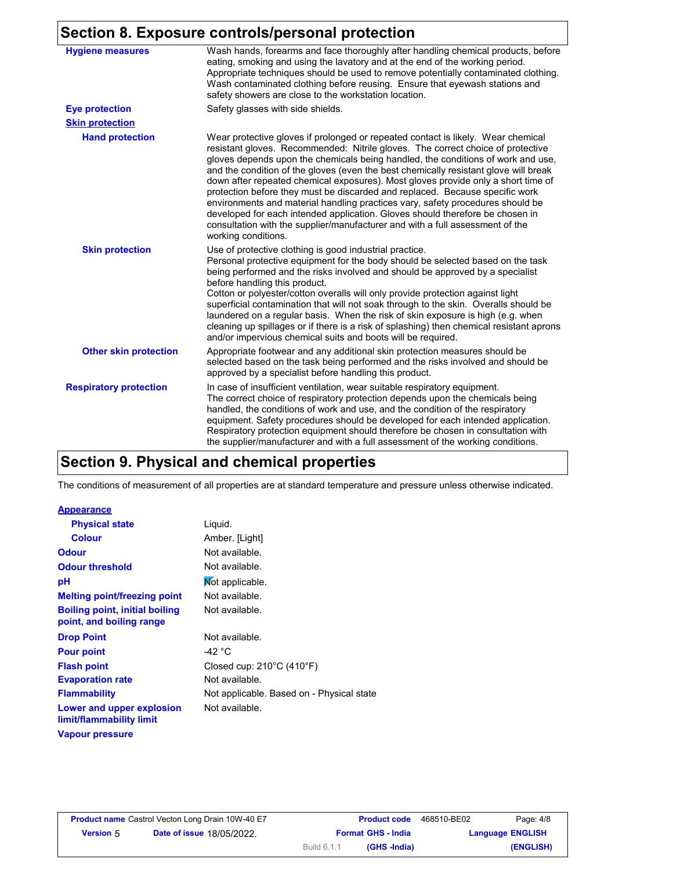#### **Section 8. Exposure controls/personal protection**

| <b>Hygiene measures</b>       | Wash hands, forearms and face thoroughly after handling chemical products, before<br>eating, smoking and using the lavatory and at the end of the working period.<br>Appropriate techniques should be used to remove potentially contaminated clothing.<br>Wash contaminated clothing before reusing. Ensure that eyewash stations and<br>safety showers are close to the workstation location.                                                                                                                                                                                                                                                                                                                                                                                                 |
|-------------------------------|-------------------------------------------------------------------------------------------------------------------------------------------------------------------------------------------------------------------------------------------------------------------------------------------------------------------------------------------------------------------------------------------------------------------------------------------------------------------------------------------------------------------------------------------------------------------------------------------------------------------------------------------------------------------------------------------------------------------------------------------------------------------------------------------------|
| <b>Eye protection</b>         | Safety glasses with side shields.                                                                                                                                                                                                                                                                                                                                                                                                                                                                                                                                                                                                                                                                                                                                                               |
| <b>Skin protection</b>        |                                                                                                                                                                                                                                                                                                                                                                                                                                                                                                                                                                                                                                                                                                                                                                                                 |
| <b>Hand protection</b>        | Wear protective gloves if prolonged or repeated contact is likely. Wear chemical<br>resistant gloves. Recommended: Nitrile gloves. The correct choice of protective<br>gloves depends upon the chemicals being handled, the conditions of work and use,<br>and the condition of the gloves (even the best chemically resistant glove will break<br>down after repeated chemical exposures). Most gloves provide only a short time of<br>protection before they must be discarded and replaced. Because specific work<br>environments and material handling practices vary, safety procedures should be<br>developed for each intended application. Gloves should therefore be chosen in<br>consultation with the supplier/manufacturer and with a full assessment of the<br>working conditions. |
| <b>Skin protection</b>        | Use of protective clothing is good industrial practice.<br>Personal protective equipment for the body should be selected based on the task<br>being performed and the risks involved and should be approved by a specialist<br>before handling this product.<br>Cotton or polyester/cotton overalls will only provide protection against light<br>superficial contamination that will not soak through to the skin. Overalls should be<br>laundered on a regular basis. When the risk of skin exposure is high (e.g. when<br>cleaning up spillages or if there is a risk of splashing) then chemical resistant aprons<br>and/or impervious chemical suits and boots will be required.                                                                                                           |
| <b>Other skin protection</b>  | Appropriate footwear and any additional skin protection measures should be<br>selected based on the task being performed and the risks involved and should be<br>approved by a specialist before handling this product.                                                                                                                                                                                                                                                                                                                                                                                                                                                                                                                                                                         |
| <b>Respiratory protection</b> | In case of insufficient ventilation, wear suitable respiratory equipment.<br>The correct choice of respiratory protection depends upon the chemicals being<br>handled, the conditions of work and use, and the condition of the respiratory<br>equipment. Safety procedures should be developed for each intended application.<br>Respiratory protection equipment should therefore be chosen in consultation with<br>the supplier/manufacturer and with a full assessment of the working conditions.                                                                                                                                                                                                                                                                                           |

## **Section 9. Physical and chemical properties**

The conditions of measurement of all properties are at standard temperature and pressure unless otherwise indicated.

#### **Appearance**

| <b>Physical state</b>                                             | Liquid.                                        |
|-------------------------------------------------------------------|------------------------------------------------|
| <b>Colour</b>                                                     | Amber. [Light]                                 |
| <b>Odour</b>                                                      | Not available.                                 |
| <b>Odour threshold</b>                                            | Not available.                                 |
| рH                                                                | Mot applicable.                                |
| <b>Melting point/freezing point</b>                               | Not available.                                 |
| <b>Boiling point, initial boiling</b><br>point, and boiling range | Not available.                                 |
| <b>Drop Point</b>                                                 | Not available.                                 |
| <b>Pour point</b>                                                 | -42 °C                                         |
| <b>Flash point</b>                                                | Closed cup: $210^{\circ}$ C (410 $^{\circ}$ F) |
| <b>Evaporation rate</b>                                           | Not available.                                 |
| <b>Flammability</b>                                               | Not applicable. Based on - Physical state      |
| Lower and upper explosion<br>limit/flammability limit             | Not available.                                 |
| <b>Vapour pressure</b>                                            |                                                |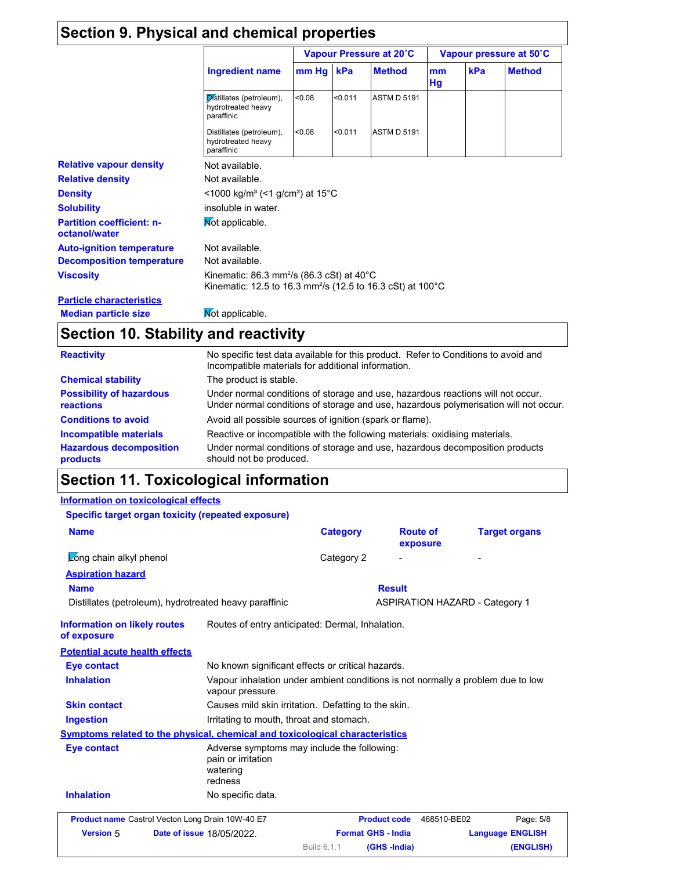### **Section 9. Physical and chemical properties**

|                                                   | <b>Ingredient name</b>                                                                                                                      | Vapour Pressure at 20°C |         |                    | Vapour pressure at 50°C |     |               |
|---------------------------------------------------|---------------------------------------------------------------------------------------------------------------------------------------------|-------------------------|---------|--------------------|-------------------------|-----|---------------|
|                                                   |                                                                                                                                             | $mm Hg$ kPa             |         | <b>Method</b>      | mm<br>Hg                | kPa | <b>Method</b> |
|                                                   | Distillates (petroleum),<br>hydrotreated heavy<br>paraffinic                                                                                | < 0.08                  | < 0.011 | <b>ASTM D 5191</b> |                         |     |               |
|                                                   | Distillates (petroleum),<br>hydrotreated heavy<br>paraffinic                                                                                | < 0.08                  | < 0.011 | <b>ASTM D 5191</b> |                         |     |               |
| <b>Relative vapour density</b>                    | Not available.                                                                                                                              |                         |         |                    |                         |     |               |
| <b>Relative density</b>                           | Not available.                                                                                                                              |                         |         |                    |                         |     |               |
| <b>Density</b>                                    | $<$ 1000 kg/m <sup>3</sup> (<1 g/cm <sup>3</sup> ) at 15 <sup>°</sup> C                                                                     |                         |         |                    |                         |     |               |
| <b>Solubility</b>                                 | insoluble in water.                                                                                                                         |                         |         |                    |                         |     |               |
| <b>Partition coefficient: n-</b><br>octanol/water | Mot applicable.                                                                                                                             |                         |         |                    |                         |     |               |
| <b>Auto-ignition temperature</b>                  | Not available.                                                                                                                              |                         |         |                    |                         |     |               |
| <b>Decomposition temperature</b>                  | Not available.                                                                                                                              |                         |         |                    |                         |     |               |
| <b>Viscosity</b>                                  | Kinematic: 86.3 mm <sup>2</sup> /s (86.3 cSt) at 40 $^{\circ}$ C<br>Kinematic: 12.5 to 16.3 mm <sup>2</sup> /s (12.5 to 16.3 cSt) at 100 °C |                         |         |                    |                         |     |               |
| <b>Particle characteristics</b>                   |                                                                                                                                             |                         |         |                    |                         |     |               |
| <b>Median particle size</b>                       | Mot applicable.                                                                                                                             |                         |         |                    |                         |     |               |

## **Section 10. Stability and reactivity**

| <b>Reactivity</b>                            | No specific test data available for this product. Refer to Conditions to avoid and<br>Incompatible materials for additional information.                                |
|----------------------------------------------|-------------------------------------------------------------------------------------------------------------------------------------------------------------------------|
| <b>Chemical stability</b>                    | The product is stable.                                                                                                                                                  |
| <b>Possibility of hazardous</b><br>reactions | Under normal conditions of storage and use, hazardous reactions will not occur.<br>Under normal conditions of storage and use, hazardous polymerisation will not occur. |
| <b>Conditions to avoid</b>                   | Avoid all possible sources of ignition (spark or flame).                                                                                                                |
| Incompatible materials                       | Reactive or incompatible with the following materials: oxidising materials.                                                                                             |
| <b>Hazardous decomposition</b><br>products   | Under normal conditions of storage and use, hazardous decomposition products<br>should not be produced.                                                                 |

## **Section 11. Toxicological information**

#### **Information on toxicological effects**

| Specific target organ toxicity (repeated exposure)                           |                                                                                                     |                           |                                       |                         |
|------------------------------------------------------------------------------|-----------------------------------------------------------------------------------------------------|---------------------------|---------------------------------------|-------------------------|
| <b>Name</b>                                                                  |                                                                                                     | <b>Category</b>           | <b>Route of</b><br>exposure           | <b>Target organs</b>    |
| Long chain alkyl phenol                                                      |                                                                                                     | Category 2                |                                       |                         |
| <b>Aspiration hazard</b>                                                     |                                                                                                     |                           |                                       |                         |
| <b>Name</b>                                                                  |                                                                                                     |                           | <b>Result</b>                         |                         |
| Distillates (petroleum), hydrotreated heavy paraffinic                       |                                                                                                     |                           | <b>ASPIRATION HAZARD - Category 1</b> |                         |
| <b>Information on likely routes</b><br>of exposure                           | Routes of entry anticipated: Dermal, Inhalation.                                                    |                           |                                       |                         |
| <b>Potential acute health effects</b>                                        |                                                                                                     |                           |                                       |                         |
| <b>Eye contact</b>                                                           | No known significant effects or critical hazards.                                                   |                           |                                       |                         |
| <b>Inhalation</b>                                                            | Vapour inhalation under ambient conditions is not normally a problem due to low<br>vapour pressure. |                           |                                       |                         |
| <b>Skin contact</b>                                                          | Causes mild skin irritation. Defatting to the skin.                                                 |                           |                                       |                         |
| <b>Ingestion</b>                                                             | Irritating to mouth, throat and stomach.                                                            |                           |                                       |                         |
| Symptoms related to the physical, chemical and toxicological characteristics |                                                                                                     |                           |                                       |                         |
| Eye contact                                                                  | Adverse symptoms may include the following:<br>pain or irritation<br>watering<br>redness            |                           |                                       |                         |
| <b>Inhalation</b>                                                            | No specific data.                                                                                   |                           |                                       |                         |
| Product name Castrol Vecton Long Drain 10W-40 E7                             |                                                                                                     |                           | <b>Product code</b><br>468510-BE02    | Page: 5/8               |
| <b>Version 5</b>                                                             | Date of issue 18/05/2022.                                                                           | <b>Format GHS - India</b> |                                       | <b>Language ENGLISH</b> |
|                                                                              |                                                                                                     | Build 6.1.1               | (GHS-India)                           | (ENGLISH)               |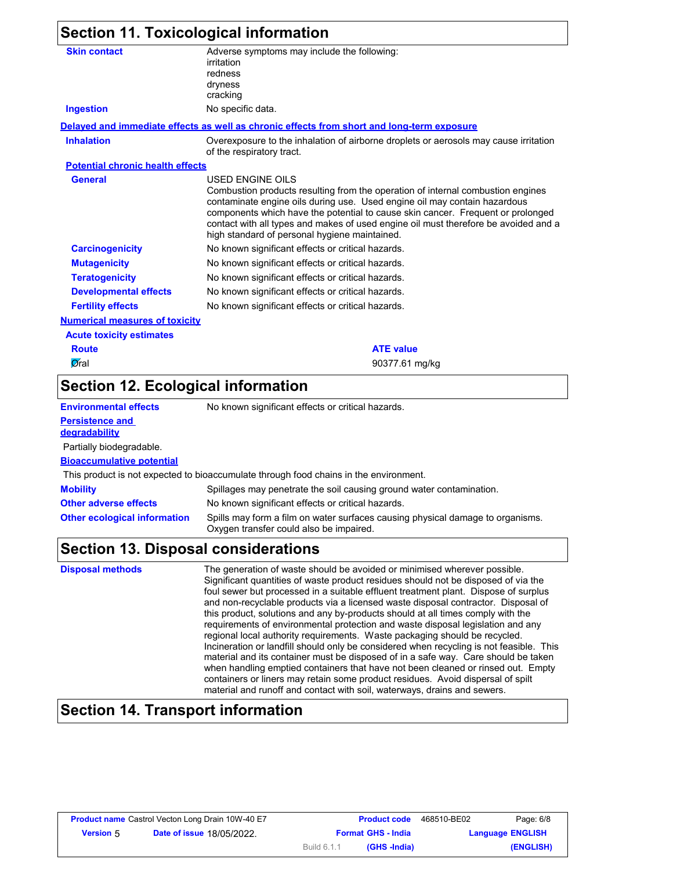### **Section 11. Toxicological information**

| <b>Skin contact</b>                     | Adverse symptoms may include the following:<br>irritation                                                                                                                                                                                                                                                                                                                                                          |
|-----------------------------------------|--------------------------------------------------------------------------------------------------------------------------------------------------------------------------------------------------------------------------------------------------------------------------------------------------------------------------------------------------------------------------------------------------------------------|
|                                         | redness                                                                                                                                                                                                                                                                                                                                                                                                            |
|                                         | dryness                                                                                                                                                                                                                                                                                                                                                                                                            |
|                                         | cracking                                                                                                                                                                                                                                                                                                                                                                                                           |
| <b>Ingestion</b>                        | No specific data.                                                                                                                                                                                                                                                                                                                                                                                                  |
|                                         | Delayed and immediate effects as well as chronic effects from short and long-term exposure                                                                                                                                                                                                                                                                                                                         |
| <b>Inhalation</b>                       | Overexposure to the inhalation of airborne droplets or aerosols may cause irritation<br>of the respiratory tract.                                                                                                                                                                                                                                                                                                  |
| <b>Potential chronic health effects</b> |                                                                                                                                                                                                                                                                                                                                                                                                                    |
| <b>General</b>                          | <b>USED ENGINE OILS</b><br>Combustion products resulting from the operation of internal combustion engines<br>contaminate engine oils during use. Used engine oil may contain hazardous<br>components which have the potential to cause skin cancer. Frequent or prolonged<br>contact with all types and makes of used engine oil must therefore be avoided and a<br>high standard of personal hygiene maintained. |
| <b>Carcinogenicity</b>                  | No known significant effects or critical hazards.                                                                                                                                                                                                                                                                                                                                                                  |
| <b>Mutagenicity</b>                     | No known significant effects or critical hazards.                                                                                                                                                                                                                                                                                                                                                                  |
| <b>Teratogenicity</b>                   | No known significant effects or critical hazards.                                                                                                                                                                                                                                                                                                                                                                  |
| <b>Developmental effects</b>            | No known significant effects or critical hazards.                                                                                                                                                                                                                                                                                                                                                                  |
| <b>Fertility effects</b>                | No known significant effects or critical hazards.                                                                                                                                                                                                                                                                                                                                                                  |
| <b>Numerical measures of toxicity</b>   |                                                                                                                                                                                                                                                                                                                                                                                                                    |
| <b>Acute toxicity estimates</b>         |                                                                                                                                                                                                                                                                                                                                                                                                                    |
| <b>Route</b>                            | <b>ATE value</b>                                                                                                                                                                                                                                                                                                                                                                                                   |
| Øral                                    | 90377.61 mg/kg                                                                                                                                                                                                                                                                                                                                                                                                     |
|                                         |                                                                                                                                                                                                                                                                                                                                                                                                                    |

### **Section 12. Ecological information**

| <b>Environmental effects</b>            | No known significant effects or critical hazards.                                                                         |
|-----------------------------------------|---------------------------------------------------------------------------------------------------------------------------|
| <b>Persistence and</b><br>degradability |                                                                                                                           |
| Partially biodegradable.                |                                                                                                                           |
| <b>Bioaccumulative potential</b>        |                                                                                                                           |
|                                         | This product is not expected to bioaccumulate through food chains in the environment.                                     |
| <b>Mobility</b>                         | Spillages may penetrate the soil causing ground water contamination.                                                      |
| <b>Other adverse effects</b>            | No known significant effects or critical hazards.                                                                         |
| <b>Other ecological information</b>     | Spills may form a film on water surfaces causing physical damage to organisms.<br>Oxygen transfer could also be impaired. |

#### **Section 13. Disposal considerations**

**Disposal methods** The generation of waste should be avoided or minimised wherever possible. Significant quantities of waste product residues should not be disposed of via the foul sewer but processed in a suitable effluent treatment plant. Dispose of surplus and non-recyclable products via a licensed waste disposal contractor. Disposal of this product, solutions and any by-products should at all times comply with the requirements of environmental protection and waste disposal legislation and any regional local authority requirements. Waste packaging should be recycled. Incineration or landfill should only be considered when recycling is not feasible. This material and its container must be disposed of in a safe way. Care should be taken when handling emptied containers that have not been cleaned or rinsed out. Empty containers or liners may retain some product residues. Avoid dispersal of spilt material and runoff and contact with soil, waterways, drains and sewers.

#### **Section 14. Transport information**

| Page: 6/8               | 468510-BE02 | <b>Product code</b>       |             | <b>Product name</b> Castrol Vecton Long Drain 10W-40 E7 |                  |
|-------------------------|-------------|---------------------------|-------------|---------------------------------------------------------|------------------|
| <b>Language ENGLISH</b> |             | <b>Format GHS - India</b> |             | <b>Date of issue 18/05/2022.</b>                        | <b>Version</b> 5 |
| (ENGLISH)               |             | (GHS -India)              | Build 6.1.1 |                                                         |                  |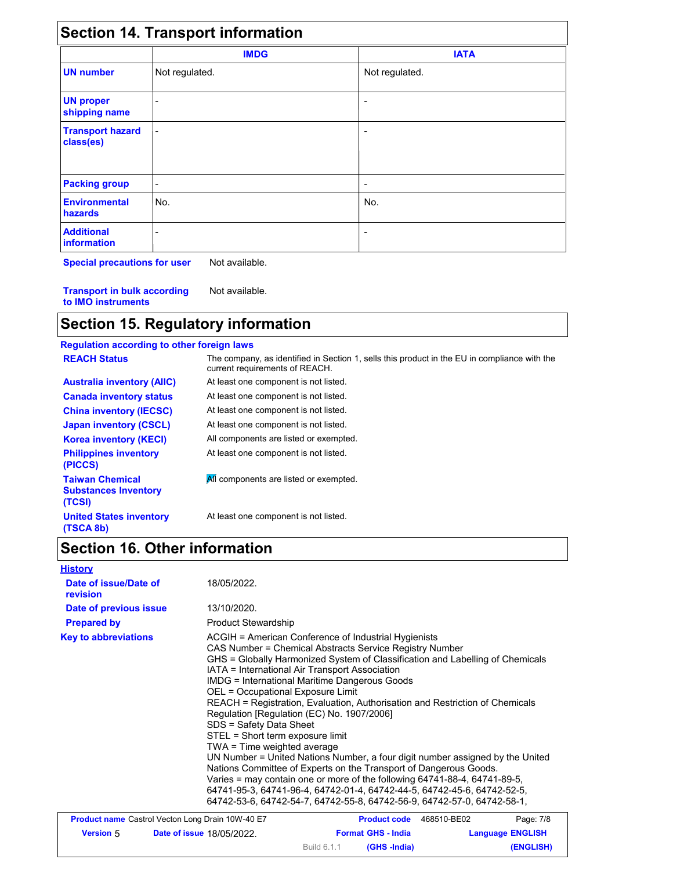| <b>Section 14. Transport information</b> |  |
|------------------------------------------|--|
|------------------------------------------|--|

|                                      | <b>IMDG</b>    | <b>IATA</b>    |  |
|--------------------------------------|----------------|----------------|--|
| <b>UN number</b>                     | Not regulated. | Not regulated. |  |
| <b>UN proper</b><br>shipping name    |                | -              |  |
| <b>Transport hazard</b><br>class(es) |                |                |  |
| <b>Packing group</b>                 | ٠              |                |  |
| <b>Environmental</b><br>hazards      | No.            | No.            |  |
| <b>Additional</b><br>information     |                | -              |  |

**Special precautions for user** Not available.

**Transport in bulk according to IMO instruments** Not available.

# **Section 15. Regulatory information**

| <b>Regulation according to other foreign laws</b>               |                                                                                                                                |
|-----------------------------------------------------------------|--------------------------------------------------------------------------------------------------------------------------------|
| <b>REACH Status</b>                                             | The company, as identified in Section 1, sells this product in the EU in compliance with the<br>current requirements of REACH. |
| <b>Australia inventory (AIIC)</b>                               | At least one component is not listed.                                                                                          |
| <b>Canada inventory status</b>                                  | At least one component is not listed.                                                                                          |
| <b>China inventory (IECSC)</b>                                  | At least one component is not listed.                                                                                          |
| <b>Japan inventory (CSCL)</b>                                   | At least one component is not listed.                                                                                          |
| <b>Korea inventory (KECI)</b>                                   | All components are listed or exempted.                                                                                         |
| <b>Philippines inventory</b><br>(PICCS)                         | At least one component is not listed.                                                                                          |
| <b>Taiwan Chemical</b><br><b>Substances Inventory</b><br>(TCSI) | All components are listed or exempted.                                                                                         |
| <b>United States inventory</b><br>(TSCA 8b)                     | At least one component is not listed.                                                                                          |

## **Section 16. Other information**

|  |  | <b>History</b> |  |
|--|--|----------------|--|
|--|--|----------------|--|

18/05/2022.

| Date of issue/Date of<br>revision | 18/05/2022.                                                                                                                                                                                                                                                                                                                                                                                                                                                                                                                                                                                                                                                                                                                                                                                                                                                                                                                                                          |
|-----------------------------------|----------------------------------------------------------------------------------------------------------------------------------------------------------------------------------------------------------------------------------------------------------------------------------------------------------------------------------------------------------------------------------------------------------------------------------------------------------------------------------------------------------------------------------------------------------------------------------------------------------------------------------------------------------------------------------------------------------------------------------------------------------------------------------------------------------------------------------------------------------------------------------------------------------------------------------------------------------------------|
| Date of previous issue            | 13/10/2020.                                                                                                                                                                                                                                                                                                                                                                                                                                                                                                                                                                                                                                                                                                                                                                                                                                                                                                                                                          |
| <b>Prepared by</b>                | <b>Product Stewardship</b>                                                                                                                                                                                                                                                                                                                                                                                                                                                                                                                                                                                                                                                                                                                                                                                                                                                                                                                                           |
| <b>Key to abbreviations</b>       | ACGIH = American Conference of Industrial Hygienists<br>CAS Number = Chemical Abstracts Service Registry Number<br>GHS = Globally Harmonized System of Classification and Labelling of Chemicals<br>IATA = International Air Transport Association<br><b>IMDG</b> = International Maritime Dangerous Goods<br>OEL = Occupational Exposure Limit<br>REACH = Registration, Evaluation, Authorisation and Restriction of Chemicals<br>Regulation [Regulation (EC) No. 1907/2006]<br>SDS = Safety Data Sheet<br>STEL = Short term exposure limit<br>TWA = Time weighted average<br>UN Number = United Nations Number, a four digit number assigned by the United<br>Nations Committee of Experts on the Transport of Dangerous Goods.<br>Varies = may contain one or more of the following 64741-88-4, 64741-89-5,<br>64741-95-3, 64741-96-4, 64742-01-4, 64742-44-5, 64742-45-6, 64742-52-5,<br>64742-53-6, 64742-54-7, 64742-55-8, 64742-56-9, 64742-57-0, 64742-58-1, |

| Page: 7/8               | 468510-BE02 | <b>Product code</b>       |             | <b>Product name</b> Castrol Vecton Long Drain 10W-40 E7 |                  |
|-------------------------|-------------|---------------------------|-------------|---------------------------------------------------------|------------------|
| <b>Language ENGLISH</b> |             | <b>Format GHS - India</b> |             | <b>Date of issue 18/05/2022.</b>                        | <b>Version 5</b> |
| (ENGLISH)               |             | (GHS -India)              | Build 6.1.1 |                                                         |                  |